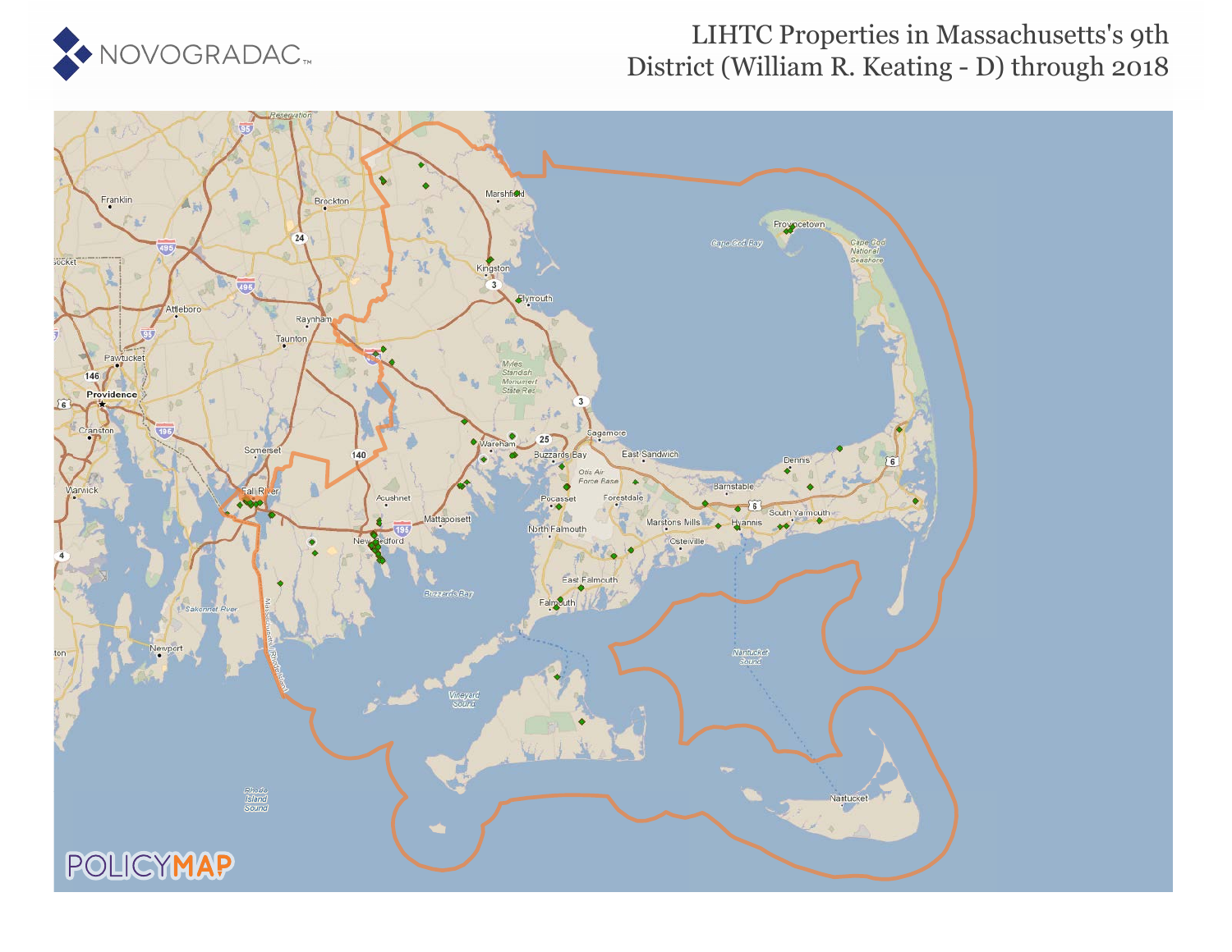

### LIHTC Properties in Massachusetts's 9th District (William R. Keating - D) through 2018

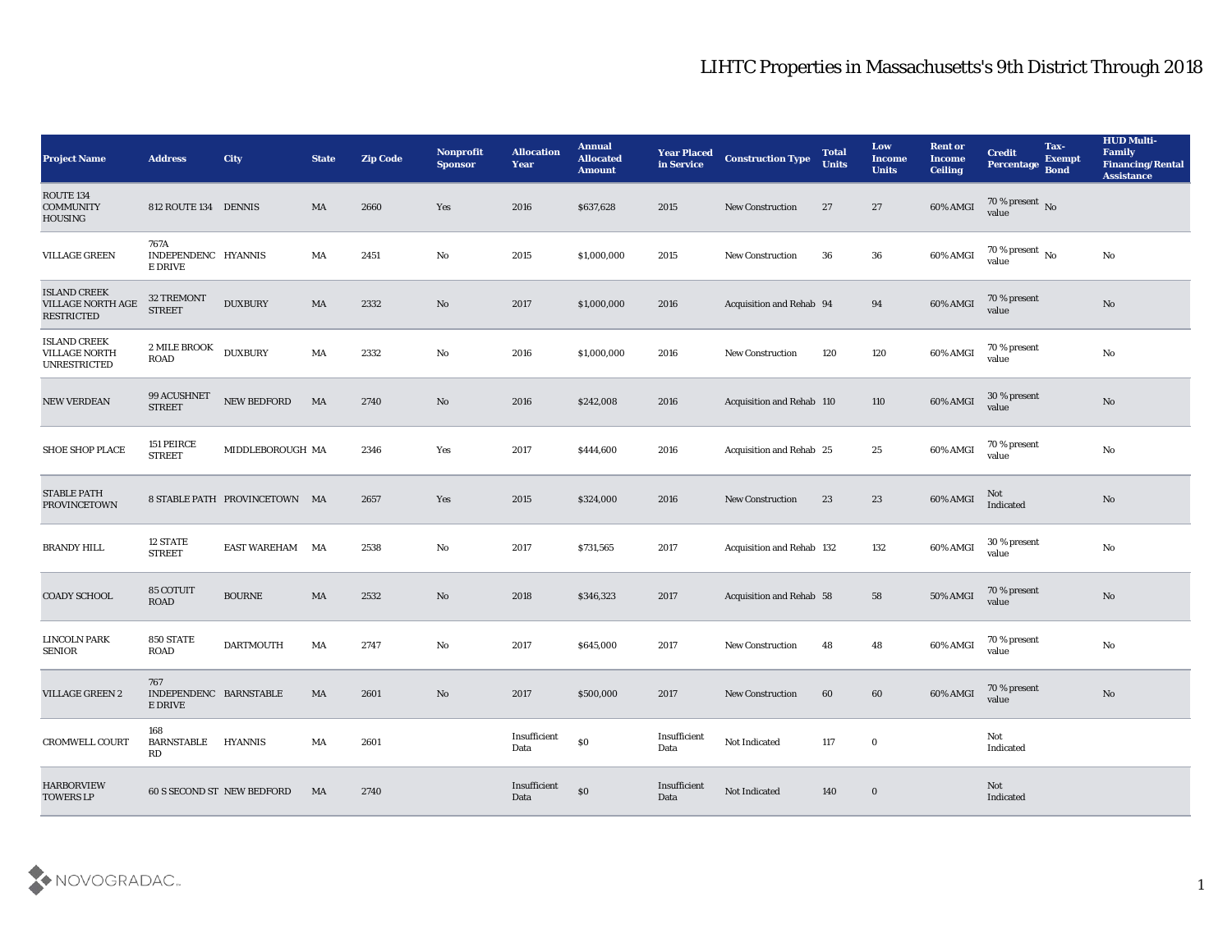| <b>Project Name</b>                                                | <b>Address</b>                           | <b>City</b>                   | <b>State</b> | <b>Zip Code</b> | Nonprofit<br><b>Sponsor</b> | <b>Allocation</b><br><b>Year</b> | <b>Annual</b><br><b>Allocated</b><br><b>Amount</b> | <b>Year Placed</b><br>in Service | <b>Construction Type</b>         | <b>Total</b><br><b>Units</b> | Low<br><b>Income</b><br><b>Units</b> | <b>Rent or</b><br><b>Income</b><br><b>Ceiling</b> | <b>Credit</b><br>Percentage    | Tax-<br><b>Exempt</b><br><b>Bond</b> | <b>HUD Multi-</b><br>Family<br><b>Financing/Rental</b><br><b>Assistance</b> |
|--------------------------------------------------------------------|------------------------------------------|-------------------------------|--------------|-----------------|-----------------------------|----------------------------------|----------------------------------------------------|----------------------------------|----------------------------------|------------------------------|--------------------------------------|---------------------------------------------------|--------------------------------|--------------------------------------|-----------------------------------------------------------------------------|
| ROUTE <sub>134</sub><br><b>COMMUNITY</b><br><b>HOUSING</b>         | 812 ROUTE 134 DENNIS                     |                               | MA           | 2660            | Yes                         | 2016                             | \$637,628                                          | 2015                             | <b>New Construction</b>          | 27                           | 27                                   | 60% AMGI                                          | $70\,\%$ present $\,$ No value |                                      |                                                                             |
| <b>VILLAGE GREEN</b>                                               | 767A<br>INDEPENDENC HYANNIS<br>E DRIVE   |                               | MA           | 2451            | No                          | 2015                             | \$1,000,000                                        | 2015                             | <b>New Construction</b>          | 36                           | 36                                   | 60% AMGI                                          | $70\,\%$ present $\,$ No value |                                      | No                                                                          |
| <b>ISLAND CREEK</b><br>VILLAGE NORTH AGE<br><b>RESTRICTED</b>      | 32 TREMONT<br><b>STREET</b>              | <b>DUXBURY</b>                | MA           | 2332            | No                          | 2017                             | \$1,000,000                                        | 2016                             | Acquisition and Rehab 94         |                              | 94                                   | 60% AMGI                                          | 70 % present<br>value          |                                      | $\mathbf{N}\mathbf{o}$                                                      |
| <b>ISLAND CREEK</b><br><b>VILLAGE NORTH</b><br><b>UNRESTRICTED</b> | 2 MILE BROOK<br><b>ROAD</b>              | <b>DUXBURY</b>                | MA           | 2332            | No                          | 2016                             | \$1,000,000                                        | 2016                             | <b>New Construction</b>          | 120                          | 120                                  | 60% AMGI                                          | 70 % present<br>value          |                                      | $\mathbf{N}\mathbf{o}$                                                      |
| NEW VERDEAN                                                        | 99 ACUSHNET<br><b>STREET</b>             | NEW BEDFORD                   | MA           | 2740            | No                          | 2016                             | \$242,008                                          | 2016                             | Acquisition and Rehab 110        |                              | 110                                  | 60% AMGI                                          | 30 % present<br>value          |                                      | $\mathbf{N}\mathbf{o}$                                                      |
| <b>SHOE SHOP PLACE</b>                                             | 151 PEIRCE<br><b>STREET</b>              | MIDDLEBOROUGH MA              |              | 2346            | Yes                         | 2017                             | \$444,600                                          | 2016                             | <b>Acquisition and Rehab 25</b>  |                              | 25                                   | 60% AMGI                                          | 70 % present<br>value          |                                      | $\mathbf{N}\mathbf{o}$                                                      |
| <b>STABLE PATH</b><br><b>PROVINCETOWN</b>                          |                                          | 8 STABLE PATH PROVINCETOWN MA |              | 2657            | Yes                         | 2015                             | \$324,000                                          | 2016                             | <b>New Construction</b>          | 23                           | 23                                   | 60% AMGI                                          | Not<br>Indicated               |                                      | No                                                                          |
| <b>BRANDY HILL</b>                                                 | 12 STATE<br><b>STREET</b>                | <b>EAST WAREHAM</b>           | MA           | 2538            | No                          | 2017                             | \$731,565                                          | 2017                             | <b>Acquisition and Rehab 132</b> |                              | 132                                  | 60% AMGI                                          | 30 % present<br>value          |                                      | $\mathbf{N}\mathbf{o}$                                                      |
| <b>COADY SCHOOL</b>                                                | 85 COTUIT<br><b>ROAD</b>                 | <b>BOURNE</b>                 | MA           | 2532            | No                          | 2018                             | \$346,323                                          | 2017                             | <b>Acquisition and Rehab 58</b>  |                              | 58                                   | <b>50% AMGI</b>                                   | 70 % present<br>value          |                                      | $\mathbf{N}\mathbf{o}$                                                      |
| LINCOLN PARK<br><b>SENIOR</b>                                      | <b>850 STATE</b><br><b>ROAD</b>          | <b>DARTMOUTH</b>              | MA           | 2747            | No                          | 2017                             | \$645,000                                          | 2017                             | <b>New Construction</b>          | 48                           | 48                                   | 60% AMGI                                          | 70 % present<br>value          |                                      | $\rm\thinspace No$                                                          |
| <b>VILLAGE GREEN 2</b>                                             | 767<br>INDEPENDENC BARNSTABLE<br>E DRIVE |                               | MA           | 2601            | No                          | 2017                             | \$500,000                                          | 2017                             | <b>New Construction</b>          | 60                           | 60                                   | 60% AMGI                                          | 70 % present<br>value          |                                      | No                                                                          |
| <b>CROMWELL COURT</b>                                              | 168<br><b>BARNSTABLE</b><br>RD           | <b>HYANNIS</b>                | MA           | 2601            |                             | Insufficient<br>Data             | $\boldsymbol{\mathsf{S}}\boldsymbol{\mathsf{0}}$   | Insufficient<br>Data             | Not Indicated                    | 117                          | $\bf{0}$                             |                                                   | Not<br>Indicated               |                                      |                                                                             |
| <b>HARBORVIEW</b><br><b>TOWERS LP</b>                              |                                          | 60 S SECOND ST NEW BEDFORD    | MA           | 2740            |                             | Insufficient<br>Data             | $\$0$                                              | Insufficient<br>Data             | Not Indicated                    | 140                          | $\bf{0}$                             |                                                   | Not<br>Indicated               |                                      |                                                                             |

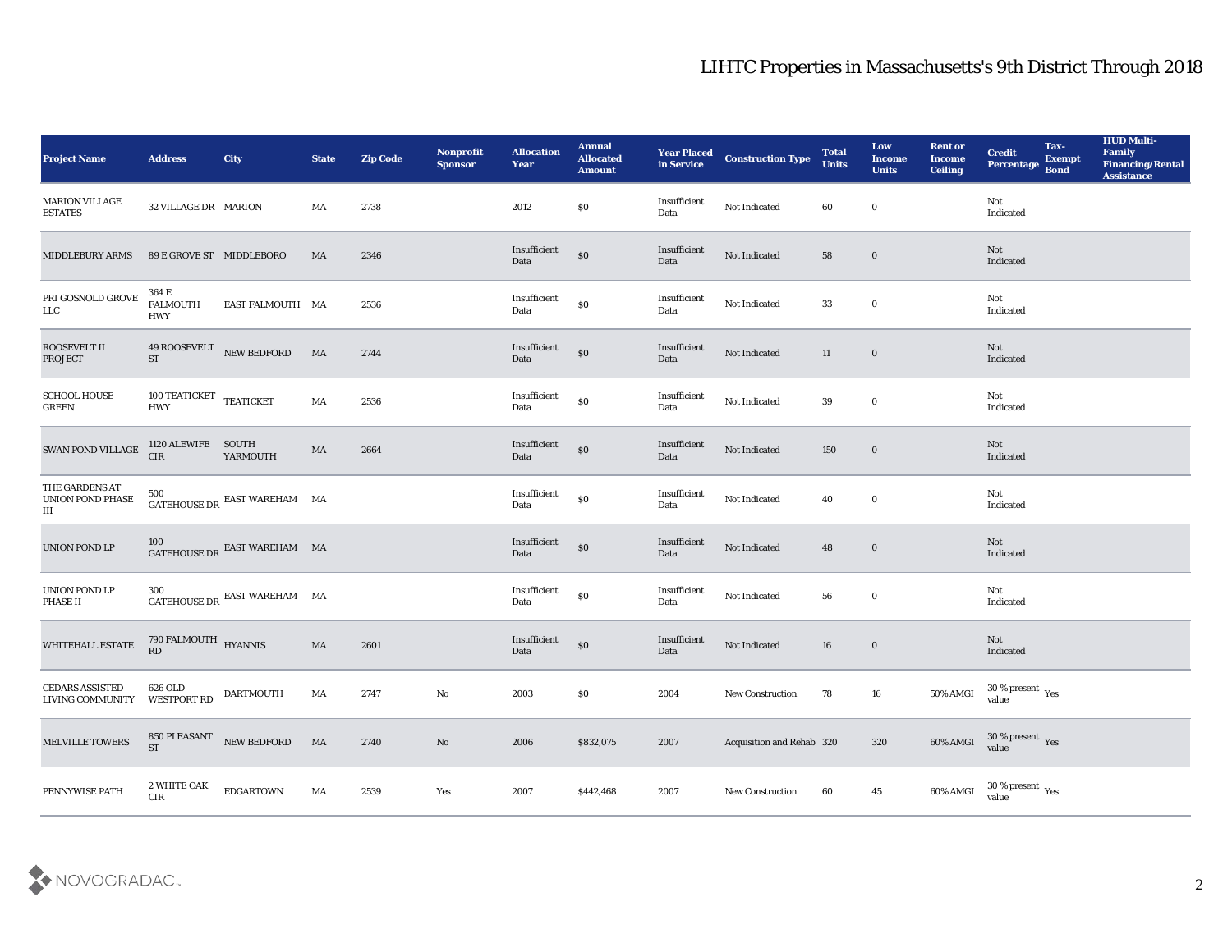| <b>Project Name</b>                        | <b>Address</b>                         | <b>City</b>                                                                                                                                                                                                                                                                                                                                                                                                                                                                                                                                    | <b>State</b> | <b>Zip Code</b> | Nonprofit<br><b>Sponsor</b> | <b>Allocation</b><br><b>Year</b> | <b>Annual</b><br><b>Allocated</b><br><b>Amount</b> | <b>Year Placed<br/>in Service</b> | <b>Construction Type</b>  | <b>Total</b><br><b>Units</b> | Low<br><b>Income</b><br><b>Units</b> | <b>Rent or</b><br><b>Income</b><br><b>Ceiling</b> | <b>Credit</b><br>Percentage Bond        | Tax-<br><b>Exempt</b> | <b>HUD Multi-</b><br>Family<br><b>Financing/Rental</b><br><b>Assistance</b> |
|--------------------------------------------|----------------------------------------|------------------------------------------------------------------------------------------------------------------------------------------------------------------------------------------------------------------------------------------------------------------------------------------------------------------------------------------------------------------------------------------------------------------------------------------------------------------------------------------------------------------------------------------------|--------------|-----------------|-----------------------------|----------------------------------|----------------------------------------------------|-----------------------------------|---------------------------|------------------------------|--------------------------------------|---------------------------------------------------|-----------------------------------------|-----------------------|-----------------------------------------------------------------------------|
| <b>MARION VILLAGE</b><br><b>ESTATES</b>    | 32 VILLAGE DR MARION                   |                                                                                                                                                                                                                                                                                                                                                                                                                                                                                                                                                | MA           | 2738            |                             | 2012                             | \$0                                                | Insufficient<br>Data              | Not Indicated             | 60                           | $\bf{0}$                             |                                                   | Not<br>Indicated                        |                       |                                                                             |
| <b>MIDDLEBURY ARMS</b>                     | 89 E GROVE ST MIDDLEBORO               |                                                                                                                                                                                                                                                                                                                                                                                                                                                                                                                                                | MA           | 2346            |                             | Insufficient<br>Data             | $\$0$                                              | Insufficient<br>Data              | Not Indicated             | 58                           | $\bf{0}$                             |                                                   | Not<br>Indicated                        |                       |                                                                             |
| PRI GOSNOLD GROVE<br>LLC                   | 364 E<br><b>FALMOUTH</b><br><b>HWY</b> | EAST FALMOUTH MA                                                                                                                                                                                                                                                                                                                                                                                                                                                                                                                               |              | 2536            |                             | Insufficient<br>Data             | $\$0$                                              | Insufficient<br>Data              | Not Indicated             | 33                           | $\bf{0}$                             |                                                   | Not<br>Indicated                        |                       |                                                                             |
| ROOSEVELT II<br><b>PROJECT</b>             | ST                                     | 49 ROOSEVELT NEW BEDFORD                                                                                                                                                                                                                                                                                                                                                                                                                                                                                                                       | MA           | 2744            |                             | Insufficient<br>Data             | $\$0$                                              | Insufficient<br>Data              | Not Indicated             | 11                           | $\bf{0}$                             |                                                   | Not<br>Indicated                        |                       |                                                                             |
| <b>SCHOOL HOUSE</b><br><b>GREEN</b>        | 100 TEATICKET TEATICKET<br><b>HWY</b>  |                                                                                                                                                                                                                                                                                                                                                                                                                                                                                                                                                | MA           | 2536            |                             | Insufficient<br>Data             | $\$0$                                              | Insufficient<br>Data              | Not Indicated             | 39                           | $\bf{0}$                             |                                                   | Not<br>Indicated                        |                       |                                                                             |
| SWAN POND VILLAGE                          | 1120 ALEWIFE SOUTH<br>CIR              | YARMOUTH                                                                                                                                                                                                                                                                                                                                                                                                                                                                                                                                       | MA           | 2664            |                             | Insufficient<br>Data             | $\boldsymbol{\mathsf{S}}\boldsymbol{\mathsf{O}}$   | Insufficient<br>Data              | Not Indicated             | 150                          | $\bf{0}$                             |                                                   | <b>Not</b><br>Indicated                 |                       |                                                                             |
| THE GARDENS AT<br>UNION POND PHASE<br>III  | 500                                    | $\begin{tabular}{ll} \multicolumn{2}{l}{{\color{blue}\hbox{GATEHOUSE DR}}}\end{tabular}\end{tabular}\begin{tabular}{l} \multicolumn{2}{l}{\textbf{EAST WAREHAM}}\end{tabular}\end{tabular}\textbf{MA}$                                                                                                                                                                                                                                                                                                                                         |              |                 |                             | Insufficient<br>Data             | $\$0$                                              | Insufficient<br>Data              | Not Indicated             | 40                           | $\bf{0}$                             |                                                   | Not<br>Indicated                        |                       |                                                                             |
| UNION POND LP                              | 100                                    | $\begin{minipage}{.4\linewidth} GATEHOUSE\,DR \end{minipage}$                                                                                                                                                                                                                                                                                                                                                                                                                                                                                  |              |                 |                             | Insufficient<br>Data             | $\$0$                                              | Insufficient<br>Data              | Not Indicated             | 48                           | $\bf{0}$                             |                                                   | Not<br>Indicated                        |                       |                                                                             |
| UNION POND LP<br>PHASE II                  | 300                                    | $\begin{minipage}{.4\linewidth} \begin{tabular}{l} \multicolumn{2}{c}{\textbf{GATEHOUSE DR}} \end{tabular} \end{minipage} \begin{minipage}{.4\linewidth} \begin{tabular}{l} \multicolumn{2}{c}{\textbf{EAST WAREHAM}} \end{tabular} \end{minipage} \begin{minipage}{.4\linewidth} \end{minipage} \begin{minipage}{.4\linewidth} \end{minipage} \begin{minipage}{.4\linewidth} \end{minipage} \begin{minipage}{.4\linewidth} \end{minipage} \begin{minipage}{.4\linewidth} \end{minipage} \begin{minipage}{.4\linewidth} \end{minipage} \begin$ |              |                 |                             | Insufficient<br>Data             | $\$0$                                              | Insufficient<br>Data              | Not Indicated             | 56                           | $\bf{0}$                             |                                                   | Not<br>Indicated                        |                       |                                                                             |
| WHITEHALL ESTATE                           | 790 FALMOUTH HYANNIS<br>RD             |                                                                                                                                                                                                                                                                                                                                                                                                                                                                                                                                                | MA           | 2601            |                             | Insufficient<br>Data             | $\$0$                                              | Insufficient<br>Data              | Not Indicated             | 16                           | $\bf{0}$                             |                                                   | Not<br>Indicated                        |                       |                                                                             |
| <b>CEDARS ASSISTED</b><br>LIVING COMMUNITY | 626 OLD<br>WESTPORT RD                 | <b>DARTMOUTH</b>                                                                                                                                                                                                                                                                                                                                                                                                                                                                                                                               | MA           | 2747            | No                          | 2003                             | \$0                                                | 2004                              | <b>New Construction</b>   | 78                           | 16                                   | 50% AMGI                                          | $30\,\%$ present $\,$ Yes value         |                       |                                                                             |
| <b>MELVILLE TOWERS</b>                     | <b>ST</b>                              | 850 PLEASANT NEW BEDFORD                                                                                                                                                                                                                                                                                                                                                                                                                                                                                                                       | MA           | 2740            | $\rm\thinspace No$          | 2006                             | \$832,075                                          | 2007                              | Acquisition and Rehab 320 |                              | 320                                  | 60% AMGI                                          | $30\,\%$ present $\,\mathrm{Yes}$ value |                       |                                                                             |
| PENNYWISE PATH                             | 2 WHITE OAK<br>${\rm CIR}$             | <b>EDGARTOWN</b>                                                                                                                                                                                                                                                                                                                                                                                                                                                                                                                               | MA           | 2539            | Yes                         | 2007                             | \$442,468                                          | 2007                              | New Construction          | 60                           | 45                                   | 60% AMGI                                          | $30\,\%$ present $\,$ Yes value         |                       |                                                                             |

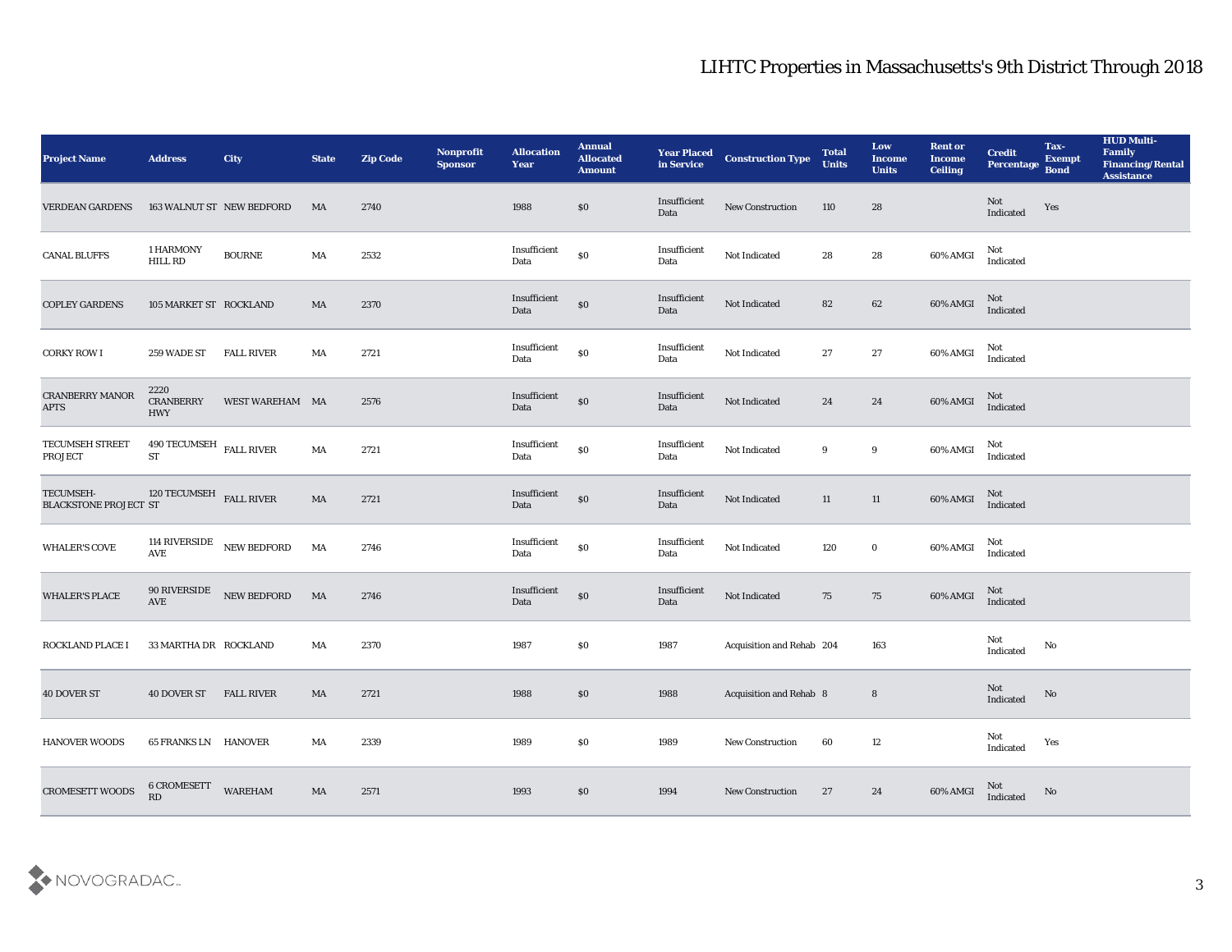| <b>Project Name</b>                       | <b>Address</b>                              | <b>City</b>               | <b>State</b> | <b>Zip Code</b> | Nonprofit<br><b>Sponsor</b> | <b>Allocation</b><br><b>Year</b> | <b>Annual</b><br><b>Allocated</b><br><b>Amount</b> | <b>Year Placed</b><br>in Service | <b>Construction Type</b>  | <b>Total</b><br><b>Units</b> | Low<br><b>Income</b><br><b>Units</b> | <b>Rent or</b><br><b>Income</b><br><b>Ceiling</b> | <b>Credit</b><br>Percentage Bond  | Tax-<br><b>Exempt</b> | <b>HUD Multi-</b><br>Family<br><b>Financing/Rental</b><br><b>Assistance</b> |
|-------------------------------------------|---------------------------------------------|---------------------------|--------------|-----------------|-----------------------------|----------------------------------|----------------------------------------------------|----------------------------------|---------------------------|------------------------------|--------------------------------------|---------------------------------------------------|-----------------------------------|-----------------------|-----------------------------------------------------------------------------|
| <b>VERDEAN GARDENS</b>                    |                                             | 163 WALNUT ST NEW BEDFORD | MA           | 2740            |                             | 1988                             | $\$0$                                              | Insufficient<br>Data             | New Construction          | 110                          | 28                                   |                                                   | Not<br>Indicated                  | Yes                   |                                                                             |
| <b>CANAL BLUFFS</b>                       | 1 HARMONY<br><b>HILL RD</b>                 | $\rm BOURNE$              | MA           | 2532            |                             | Insufficient<br>Data             | $\$0$                                              | Insufficient<br>Data             | Not Indicated             | 28                           | ${\bf 28}$                           | 60% AMGI                                          | Not<br>Indicated                  |                       |                                                                             |
| <b>COPLEY GARDENS</b>                     | 105 MARKET ST ROCKLAND                      |                           | MA           | 2370            |                             | Insufficient<br>Data             | $\$0$                                              | Insufficient<br>Data             | Not Indicated             | 82                           | 62                                   | 60% AMGI                                          | Not<br>Indicated                  |                       |                                                                             |
| <b>CORKY ROW I</b>                        | 259 WADE ST                                 | <b>FALL RIVER</b>         | MA           | 2721            |                             | Insufficient<br>Data             | $\$0$                                              | Insufficient<br>Data             | Not Indicated             | 27                           | 27                                   | 60% AMGI                                          | Not<br>Indicated                  |                       |                                                                             |
| <b>CRANBERRY MANOR</b><br><b>APTS</b>     | 2220<br>CRANBERRY<br><b>HWY</b>             | WEST WAREHAM MA           |              | 2576            |                             | Insufficient<br>Data             | $\$0$                                              | Insufficient<br>Data             | Not Indicated             | 24                           | 24                                   | 60% AMGI                                          | Not<br>Indicated                  |                       |                                                                             |
| TECUMSEH STREET<br><b>PROJECT</b>         | $490$ TECUMSEH $\,$ FALL RIVER<br><b>ST</b> |                           | MA           | 2721            |                             | Insufficient<br>Data             | $\$0$                                              | Insufficient<br>Data             | Not Indicated             | 9                            | 9                                    | 60% AMGI                                          | Not<br>Indicated                  |                       |                                                                             |
| TECUMSEH-<br><b>BLACKSTONE PROJECT ST</b> | 120 TECUMSEH FALL RIVER                     |                           | MA           | 2721            |                             | Insufficient<br>Data             | $\$0$                                              | Insufficient<br>Data             | Not Indicated             | 11                           | 11                                   | 60% AMGI                                          | Not<br>Indicated                  |                       |                                                                             |
| <b>WHALER'S COVE</b>                      | AVE                                         | 114 RIVERSIDE NEW BEDFORD | MA           | 2746            |                             | Insufficient<br>Data             | $\$0$                                              | Insufficient<br>Data             | Not Indicated             | 120                          | $\bf{0}$                             | 60% AMGI                                          | Not<br>Indicated                  |                       |                                                                             |
| <b>WHALER'S PLACE</b>                     | $\operatorname{AVE}$                        | 90 RIVERSIDE NEW BEDFORD  | MA           | 2746            |                             | Insufficient<br>Data             | $\$0$                                              | Insufficient<br>Data             | Not Indicated             | 75                           | 75                                   | 60% AMGI                                          | Not<br>Indicated                  |                       |                                                                             |
| ROCKLAND PLACE I                          | 33 MARTHA DR ROCKLAND                       |                           | MA           | 2370            |                             | 1987                             | \$0                                                | 1987                             | Acquisition and Rehab 204 |                              | 163                                  |                                                   | Not<br>Indicated                  | No                    |                                                                             |
| <b>40 DOVER ST</b>                        | <b>40 DOVER ST</b>                          | <b>FALL RIVER</b>         | MA           | 2721            |                             | 1988                             | $\$0$                                              | 1988                             | Acquisition and Rehab 8   |                              | 8                                    |                                                   | Not<br>Indicated                  | No                    |                                                                             |
| <b>HANOVER WOODS</b>                      | <b>65 FRANKS LN HANOVER</b>                 |                           | MA           | 2339            |                             | 1989                             | $\$0$                                              | 1989                             | New Construction          | 60                           | $12\,$                               |                                                   | Not<br>$\operatorname{Indicated}$ | Yes                   |                                                                             |
| <b>CROMESETT WOODS</b>                    | <b>6 CROMESETT</b><br>RD                    | <b>WAREHAM</b>            | MA           | 2571            |                             | 1993                             | \$0                                                | 1994                             | <b>New Construction</b>   | 27                           | 24                                   | 60% AMGI                                          | Not<br>Indicated                  | $\mathbf {No}$        |                                                                             |

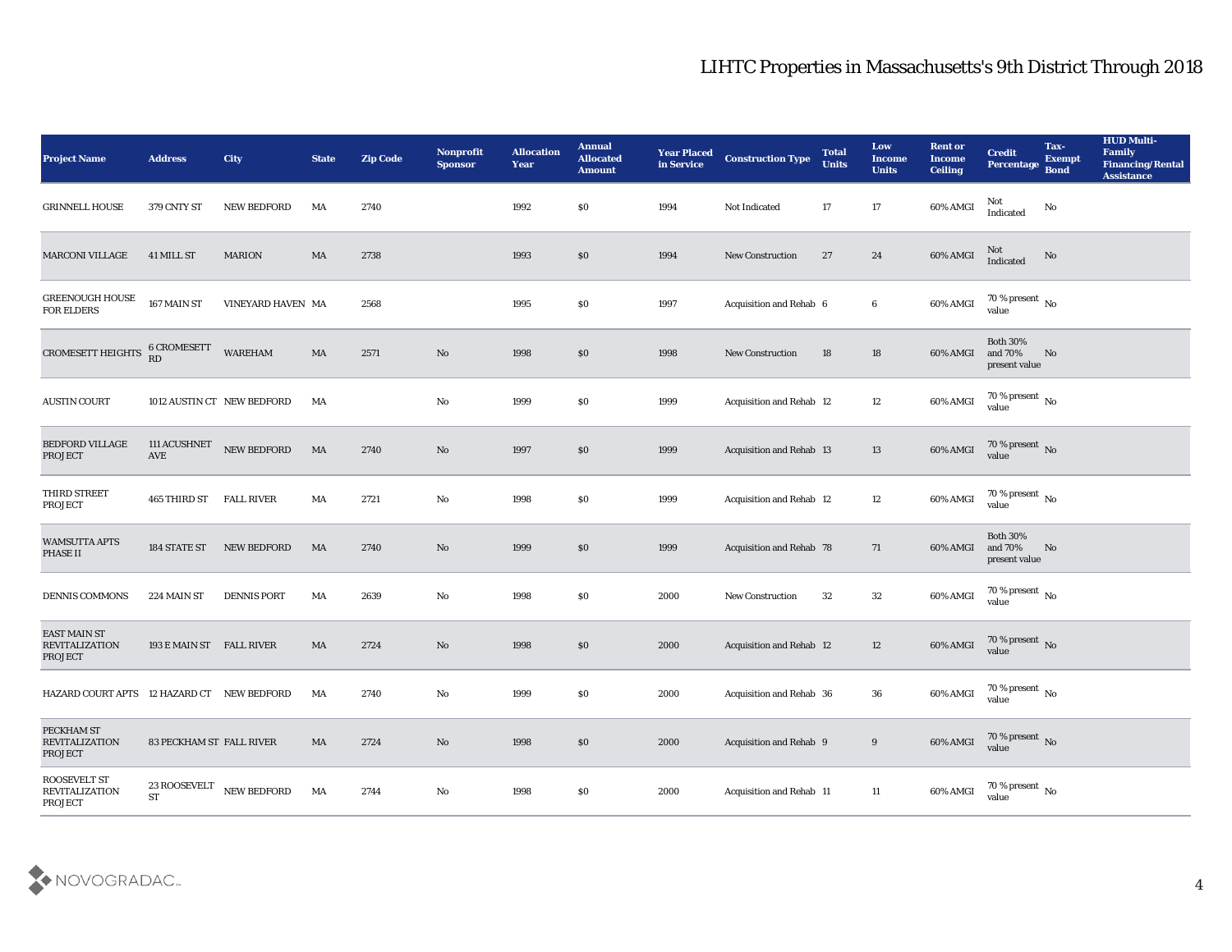| <b>Project Name</b>                                     | <b>Address</b>             | City               | <b>State</b>           | <b>Zip Code</b> | Nonprofit<br><b>Sponsor</b> | <b>Allocation</b><br><b>Year</b> | <b>Annual</b><br><b>Allocated</b><br><b>Amount</b> | <b>Year Placed</b><br>in Service | <b>Construction Type</b>        | <b>Total</b><br><b>Units</b> | Low<br><b>Income</b><br><b>Units</b> | <b>Rent or</b><br><b>Income</b><br><b>Ceiling</b> | <b>Credit</b><br>Percentage                 | Tax-<br><b>Exempt</b><br><b>Bond</b> | <b>HUD Multi-</b><br>Family<br><b>Financing/Rental</b><br><b>Assistance</b> |
|---------------------------------------------------------|----------------------------|--------------------|------------------------|-----------------|-----------------------------|----------------------------------|----------------------------------------------------|----------------------------------|---------------------------------|------------------------------|--------------------------------------|---------------------------------------------------|---------------------------------------------|--------------------------------------|-----------------------------------------------------------------------------|
| <b>GRINNELL HOUSE</b>                                   | 379 CNTY ST                | <b>NEW BEDFORD</b> | MA                     | 2740            |                             | 1992                             | \$0                                                | 1994                             | Not Indicated                   | 17                           | 17                                   | 60% AMGI                                          | Not<br>Indicated                            | No                                   |                                                                             |
| <b>MARCONI VILLAGE</b>                                  | 41 MILL ST                 | <b>MARION</b>      | MA                     | 2738            |                             | 1993                             | \$0                                                | 1994                             | <b>New Construction</b>         | 27                           | 24                                   | 60% AMGI                                          | Not<br>Indicated                            | $\rm No$                             |                                                                             |
| GREENOUGH HOUSE<br>FOR ELDERS                           | 167 MAIN ST                | VINEYARD HAVEN MA  |                        | 2568            |                             | 1995                             | \$0                                                | 1997                             | Acquisition and Rehab 6         |                              | 6                                    | 60% AMGI                                          | 70 % present $\,$ No $\,$<br>value          |                                      |                                                                             |
| CROMESETT HEIGHTS                                       | <b>6 CROMESETT</b><br>RD   | <b>WAREHAM</b>     | MA                     | 2571            | No                          | 1998                             | $\$0$                                              | 1998                             | <b>New Construction</b>         | 18                           | 18                                   | 60% AMGI                                          | <b>Both 30%</b><br>and 70%<br>present value | No                                   |                                                                             |
| <b>AUSTIN COURT</b>                                     | 1012 AUSTIN CT NEW BEDFORD |                    | MA                     |                 | $\mathbf {No}$              | 1999                             | \$0                                                | 1999                             | Acquisition and Rehab 12        |                              | 12                                   | 60% AMGI                                          | 70 % present No<br>value                    |                                      |                                                                             |
| <b>BEDFORD VILLAGE</b><br><b>PROJECT</b>                | 111 ACUSHNET<br>AVE        | NEW BEDFORD        | MA                     | 2740            | No                          | 1997                             | \$0                                                | 1999                             | Acquisition and Rehab 13        |                              | 13                                   | 60% AMGI                                          | $70\,\%$ present $\,$ No value              |                                      |                                                                             |
| THIRD STREET<br><b>PROJECT</b>                          | 465 THIRD ST               | <b>FALL RIVER</b>  | MA                     | 2721            | No                          | 1998                             | \$0                                                | 1999                             | Acquisition and Rehab 12        |                              | 12                                   | 60% AMGI                                          | $70\,\%$ present $\,$ No value              |                                      |                                                                             |
| <b>WAMSUTTA APTS</b><br>PHASE II                        | 184 STATE ST               | <b>NEW BEDFORD</b> | MA                     | 2740            | No                          | 1999                             | \$0                                                | 1999                             | <b>Acquisition and Rehab 78</b> |                              | 71                                   | 60% AMGI                                          | <b>Both 30%</b><br>and 70%<br>present value | No                                   |                                                                             |
| DENNIS COMMONS                                          | 224 MAIN ST                | <b>DENNIS PORT</b> | MA                     | 2639            | No                          | 1998                             | \$0                                                | 2000                             | <b>New Construction</b>         | 32                           | 32                                   | 60% AMGI                                          | 70 % present $\,$ No $\,$<br>value          |                                      |                                                                             |
| <b>EAST MAIN ST</b><br><b>REVITALIZATION</b><br>PROJECT | 193 E MAIN ST FALL RIVER   |                    | MA                     | 2724            | No                          | 1998                             | \$0                                                | 2000                             | <b>Acquisition and Rehab 12</b> |                              | 12                                   | 60% AMGI                                          | $70\,\%$ present $\,$ No value              |                                      |                                                                             |
| HAZARD COURT APTS 12 HAZARD CT NEW BEDFORD              |                            |                    | MA                     | 2740            | No                          | 1999                             | $\$0$                                              | 2000                             | Acquisition and Rehab 36        |                              | 36                                   | 60% AMGI                                          | 70 % present $\sqrt{\ }$ No<br>value        |                                      |                                                                             |
| PECKHAM ST<br><b>REVITALIZATION</b><br><b>PROJECT</b>   | 83 PECKHAM ST FALL RIVER   |                    | $\mathbf{M}\mathbf{A}$ | 2724            | $\rm\, No$                  | 1998                             | $\$0$                                              | 2000                             | Acquisition and Rehab 9         |                              | 9                                    | 60% AMGI                                          | $70\,\%$ present $\,$ No value              |                                      |                                                                             |
| ROOSEVELT ST<br><b>REVITALIZATION</b><br>PROJECT        | 23 ROOSEVELT<br>${\rm ST}$ | NEW BEDFORD        | MA                     | 2744            | $\mathbf {No}$              | 1998                             | \$0                                                | 2000                             | Acquisition and Rehab 11        |                              | 11                                   | 60% AMGI                                          | 70 % present $\,$ No $\,$<br>value          |                                      |                                                                             |

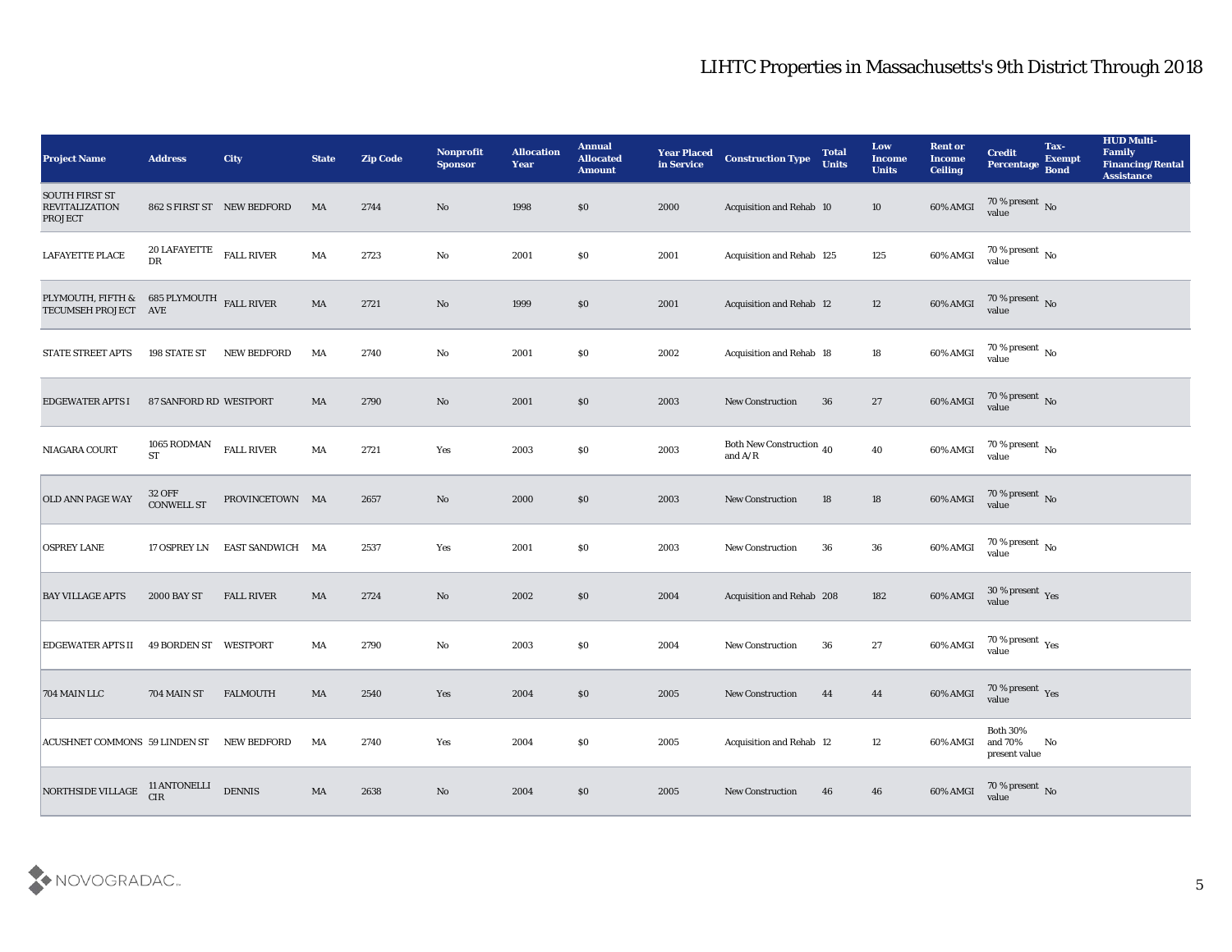| <b>Project Name</b>                                                                                                                        | <b>Address</b>                          | City                       | <b>State</b>           | <b>Zip Code</b> | Nonprofit<br><b>Sponsor</b>   | <b>Allocation</b><br><b>Year</b> | <b>Annual</b><br><b>Allocated</b><br><b>Amount</b> | <b>Year Placed</b><br>in Service | <b>Construction Type</b>                                                          | <b>Total</b><br><b>Units</b> | Low<br><b>Income</b><br><b>Units</b> | <b>Rent or</b><br><b>Income</b><br><b>Ceiling</b> | <b>Credit</b><br>Percentage                 | Tax-<br><b>Exempt</b><br><b>Bond</b> | <b>HUD Multi-</b><br>Family<br><b>Financing/Rental</b><br><b>Assistance</b> |
|--------------------------------------------------------------------------------------------------------------------------------------------|-----------------------------------------|----------------------------|------------------------|-----------------|-------------------------------|----------------------------------|----------------------------------------------------|----------------------------------|-----------------------------------------------------------------------------------|------------------------------|--------------------------------------|---------------------------------------------------|---------------------------------------------|--------------------------------------|-----------------------------------------------------------------------------|
| <b>SOUTH FIRST ST</b><br><b>REVITALIZATION</b><br><b>PROJECT</b>                                                                           |                                         | 862 S FIRST ST NEW BEDFORD | MA                     | 2744            | No                            | 1998                             | \$0                                                | 2000                             | Acquisition and Rehab 10                                                          |                              | 10                                   | 60% AMGI                                          | 70 % present No value                       |                                      |                                                                             |
| LAFAYETTE PLACE                                                                                                                            | $20$ LAFAYETTE $$\tt{FALL}$ RIVER<br>DR |                            | MA                     | 2723            | No                            | 2001                             | $\$0$                                              | 2001                             | Acquisition and Rehab 125                                                         |                              | 125                                  | 60% AMGI                                          | $70\,\%$ present $\,$ No value              |                                      |                                                                             |
| <code>PLYMOUTH</code> , FIFTH & $685$ <code>PLYMOUTH</code> $_{\rm{FALL\ RIVER}}$ <code>TECUMSEH</code> <code>PROJECT</code> $_{\rm{AVE}}$ |                                         |                            | $\mathbf{M}\mathbf{A}$ | 2721            | No                            | 1999                             | \$0                                                | 2001                             | Acquisition and Rehab 12                                                          |                              | 12                                   | 60% AMGI                                          | $70\,\%$ present $\,$ No value              |                                      |                                                                             |
| <b>STATE STREET APTS</b>                                                                                                                   | 198 STATE ST                            | <b>NEW BEDFORD</b>         | MA                     | 2740            | No                            | 2001                             | \$0                                                | 2002                             | Acquisition and Rehab 18                                                          |                              | 18                                   | 60% AMGI                                          | $70\,\%$ present $\,$ No value              |                                      |                                                                             |
| <b>EDGEWATER APTS I</b>                                                                                                                    | 87 SANFORD RD WESTPORT                  |                            | MA                     | 2790            | No                            | 2001                             | \$0                                                | 2003                             | <b>New Construction</b>                                                           | 36                           | 27                                   | 60% AMGI                                          | $70\,\%$ present $\,$ No value              |                                      |                                                                             |
| NIAGARA COURT                                                                                                                              | 1065 RODMAN<br>ST                       | <b>FALL RIVER</b>          | MA                     | 2721            | Yes                           | 2003                             | \$0                                                | 2003                             | Both New Construction 40<br>and $\ensuremath{\mathrm{A}}/\ensuremath{\mathrm{R}}$ |                              | 40                                   | 60% AMGI                                          | $70\,\%$ present $\,$ No value              |                                      |                                                                             |
| OLD ANN PAGE WAY                                                                                                                           | $32$ OFF $\,$ CONWELL ST $\,$           | PROVINCETOWN MA            |                        | 2657            | No                            | 2000                             | \$0                                                | 2003                             | <b>New Construction</b>                                                           | 18                           | 18                                   | 60% AMGI                                          | $\frac{70\%}{value}$ No                     |                                      |                                                                             |
| <b>OSPREY LANE</b>                                                                                                                         | 17 OSPREY LN                            | EAST SANDWICH MA           |                        | 2537            | Yes                           | 2001                             | \$0                                                | 2003                             | <b>New Construction</b>                                                           | 36                           | 36                                   | 60% AMGI                                          | $70\,\%$ present $\,$ No value              |                                      |                                                                             |
| <b>BAY VILLAGE APTS</b>                                                                                                                    | <b>2000 BAY ST</b>                      | <b>FALL RIVER</b>          | MA                     | 2724            | No                            | 2002                             | \$0                                                | 2004                             | Acquisition and Rehab 208                                                         |                              | 182                                  | 60% AMGI                                          | $30\,\%$ present $\,$ Yes value             |                                      |                                                                             |
| <b>EDGEWATER APTS II</b>                                                                                                                   | 49 BORDEN ST WESTPORT                   |                            | MA                     | 2790            | No                            | 2003                             | $\$0$                                              | 2004                             | <b>New Construction</b>                                                           | 36                           | 27                                   | 60% AMGI                                          | $70\,\%$ present $\,\mathrm{Yes}$ value     |                                      |                                                                             |
| 704 MAIN LLC                                                                                                                               | 704 MAIN ST                             | <b>FALMOUTH</b>            | MA                     | 2540            | Yes                           | 2004                             | \$0                                                | 2005                             | <b>New Construction</b>                                                           | 44                           | 44                                   | 60% AMGI                                          | 70 % present Yes<br>value                   |                                      |                                                                             |
| ACUSHNET COMMONS 59 LINDEN ST NEW BEDFORD                                                                                                  |                                         |                            | MA                     | 2740            | $\operatorname{\textsc{Yes}}$ | 2004                             | \$0                                                | 2005                             | Acquisition and Rehab 12                                                          |                              | 12                                   | 60% AMGI                                          | <b>Both 30%</b><br>and 70%<br>present value | No                                   |                                                                             |
| NORTHSIDE VILLAGE                                                                                                                          | 11 ANTONELLI<br>CIR                     | <b>DENNIS</b>              | MA                     | 2638            | $\rm\thinspace No$            | 2004                             | $\$0$                                              | 2005                             | New Construction                                                                  | 46                           | 46                                   | 60% AMGI                                          | $70\,\%$ present $\,$ No value              |                                      |                                                                             |

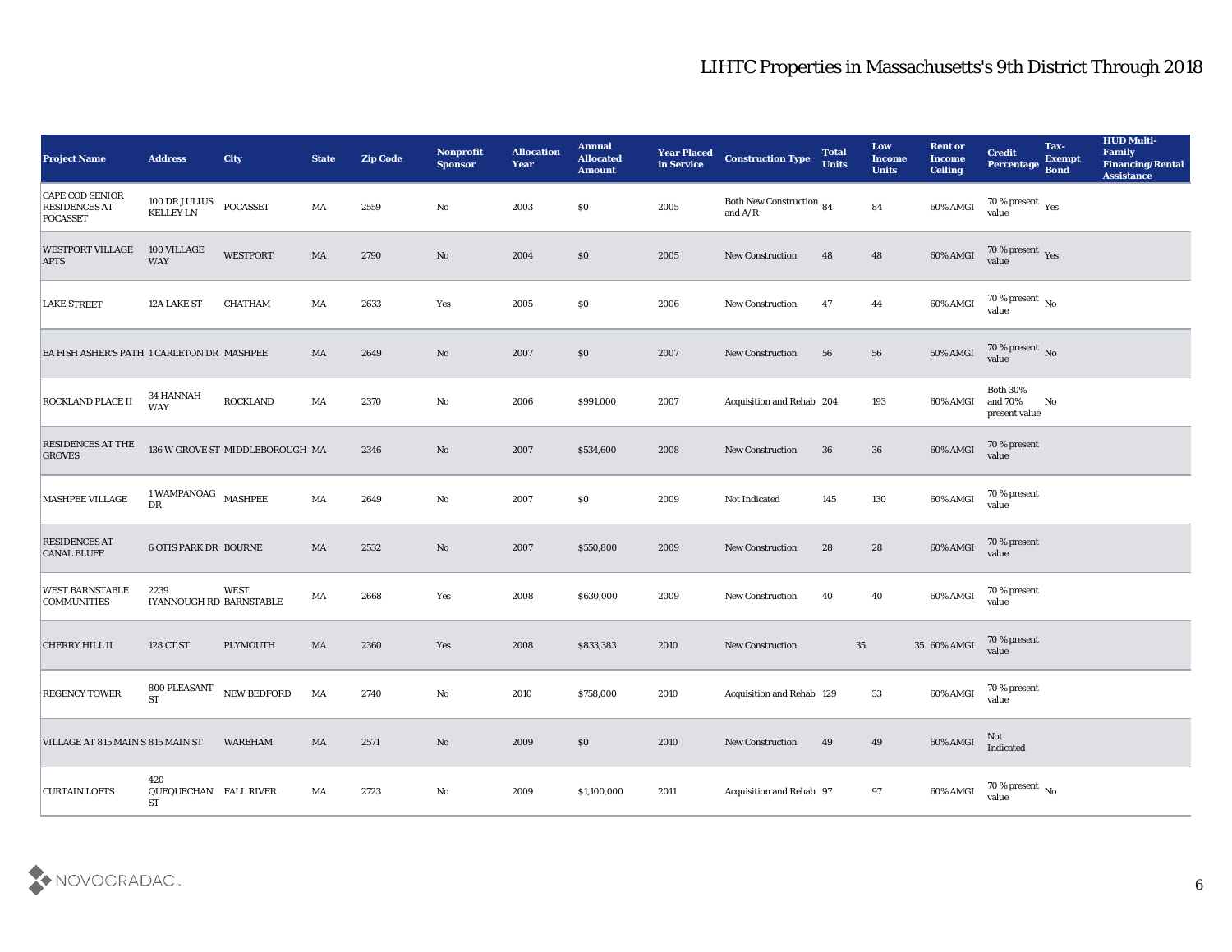| <b>Project Name</b>                                        | <b>Address</b>                            | <b>City</b>                     | <b>State</b>           | <b>Zip Code</b> | Nonprofit<br><b>Sponsor</b> | <b>Allocation</b><br><b>Year</b> | <b>Annual</b><br><b>Allocated</b><br><b>Amount</b> | <b>Year Placed</b><br>in Service | <b>Construction Type</b>              | <b>Total</b><br><b>Units</b> | Low<br><b>Income</b><br><b>Units</b> | <b>Rent or</b><br><b>Income</b><br><b>Ceiling</b> | <b>Credit</b><br>Percentage                 | Tax-<br><b>Exempt</b><br><b>Bond</b> | <b>HUD Multi-</b><br>Family<br><b>Financing/Rental</b><br><b>Assistance</b> |
|------------------------------------------------------------|-------------------------------------------|---------------------------------|------------------------|-----------------|-----------------------------|----------------------------------|----------------------------------------------------|----------------------------------|---------------------------------------|------------------------------|--------------------------------------|---------------------------------------------------|---------------------------------------------|--------------------------------------|-----------------------------------------------------------------------------|
| <b>CAPE COD SENIOR</b><br><b>RESIDENCES AT</b><br>POCASSET | 100 DR JULIUS<br><b>KELLEY LN</b>         | <b>POCASSET</b>                 | MA                     | 2559            | No                          | 2003                             | \$0                                                | 2005                             | Both New Construction 84<br>and $A/R$ |                              | 84                                   | 60% AMGI                                          | 70 % present $_{\rm Yes}$<br>value          |                                      |                                                                             |
| <b>WESTPORT VILLAGE</b><br><b>APTS</b>                     | 100 VILLAGE<br>WAY                        | <b>WESTPORT</b>                 | MA                     | 2790            | No                          | 2004                             | \$0                                                | 2005                             | <b>New Construction</b>               | 48                           | 48                                   | 60% AMGI                                          | $70\,\%$ present $\,\mathrm{Yes}$ value     |                                      |                                                                             |
| <b>LAKE STREET</b>                                         | 12A LAKE ST                               | <b>CHATHAM</b>                  | MA                     | 2633            | Yes                         | 2005                             | \$0                                                | 2006                             | <b>New Construction</b>               | 47                           | 44                                   | 60% AMGI                                          | 70 % present $\,$ No $\,$<br>value          |                                      |                                                                             |
| EA FISH ASHER'S PATH 1 CARLETON DR MASHPEE                 |                                           |                                 | MA                     | 2649            | No                          | 2007                             | \$0                                                | 2007                             | <b>New Construction</b>               | 56                           | 56                                   | 50% AMGI                                          | $70\,\%$ present $\,$ No value              |                                      |                                                                             |
| <b>ROCKLAND PLACE II</b>                                   | <b>34 HANNAH</b><br><b>WAY</b>            | <b>ROCKLAND</b>                 | MA                     | 2370            | No                          | 2006                             | \$991,000                                          | 2007                             | Acquisition and Rehab 204             |                              | 193                                  | 60% AMGI                                          | <b>Both 30%</b><br>and 70%<br>present value | No                                   |                                                                             |
| <b>RESIDENCES AT THE</b><br><b>GROVES</b>                  |                                           | 136 W GROVE ST MIDDLEBOROUGH MA |                        | 2346            | No                          | 2007                             | \$534,600                                          | 2008                             | <b>New Construction</b>               | 36                           | 36                                   | 60% AMGI                                          | 70 % present<br>value                       |                                      |                                                                             |
| MASHPEE VILLAGE                                            | $1\,$ WAMPANOAG $\,$ MASHPEE<br>DR        |                                 | MA                     | 2649            | $\mathbf{No}$               | 2007                             | \$0                                                | 2009                             | Not Indicated                         | 145                          | 130                                  | 60% AMGI                                          | 70 % present<br>value                       |                                      |                                                                             |
| <b>RESIDENCES AT</b><br><b>CANAL BLUFF</b>                 | <b>6 OTIS PARK DR BOURNE</b>              |                                 | $\rm MA$               | 2532            | No                          | 2007                             | \$550,800                                          | 2009                             | <b>New Construction</b>               | 28                           | 28                                   | 60% AMGI                                          | 70 % present<br>value                       |                                      |                                                                             |
| <b>WEST BARNSTABLE</b><br><b>COMMUNITIES</b>               | 2239<br>IYANNOUGH RD BARNSTABLE           | <b>WEST</b>                     | MA                     | 2668            | Yes                         | 2008                             | \$630,000                                          | 2009                             | <b>New Construction</b>               | 40                           | 40                                   | 60% AMGI                                          | 70 % present<br>value                       |                                      |                                                                             |
| <b>CHERRY HILL II</b>                                      | 128 CT ST                                 | <b>PLYMOUTH</b>                 | $\mathbf{M}\mathbf{A}$ | 2360            | Yes                         | 2008                             | \$833,383                                          | 2010                             | <b>New Construction</b>               |                              | 35                                   | 35 60% AMGI                                       | 70 % present<br>value                       |                                      |                                                                             |
| <b>REGENCY TOWER</b>                                       | 800 PLEASANT<br><b>ST</b>                 | NEW BEDFORD                     | MA                     | 2740            | No                          | 2010                             | \$758,000                                          | 2010                             | Acquisition and Rehab 129             |                              | 33                                   | 60% AMGI                                          | 70 % present<br>value                       |                                      |                                                                             |
| VILLAGE AT 815 MAIN S 815 MAIN ST                          |                                           | <b>WAREHAM</b>                  | $\mathbf{M}\mathbf{A}$ | 2571            | $\rm\thinspace No$          | 2009                             | $\$0$                                              | $2010\,$                         | New Construction                      | 49                           | 49                                   | 60% AMGI                                          | $\operatorname{\mathsf{Not}}$<br>Indicated  |                                      |                                                                             |
| <b>CURTAIN LOFTS</b>                                       | 420<br>QUEQUECHAN FALL RIVER<br><b>ST</b> |                                 | MA                     | 2723            | $\rm\thinspace No$          | 2009                             | \$1,100,000                                        | 2011                             | Acquisition and Rehab 97              |                              | $\bf{97}$                            | 60% AMGI                                          | 70 % present $\,$ No $\,$<br>value          |                                      |                                                                             |

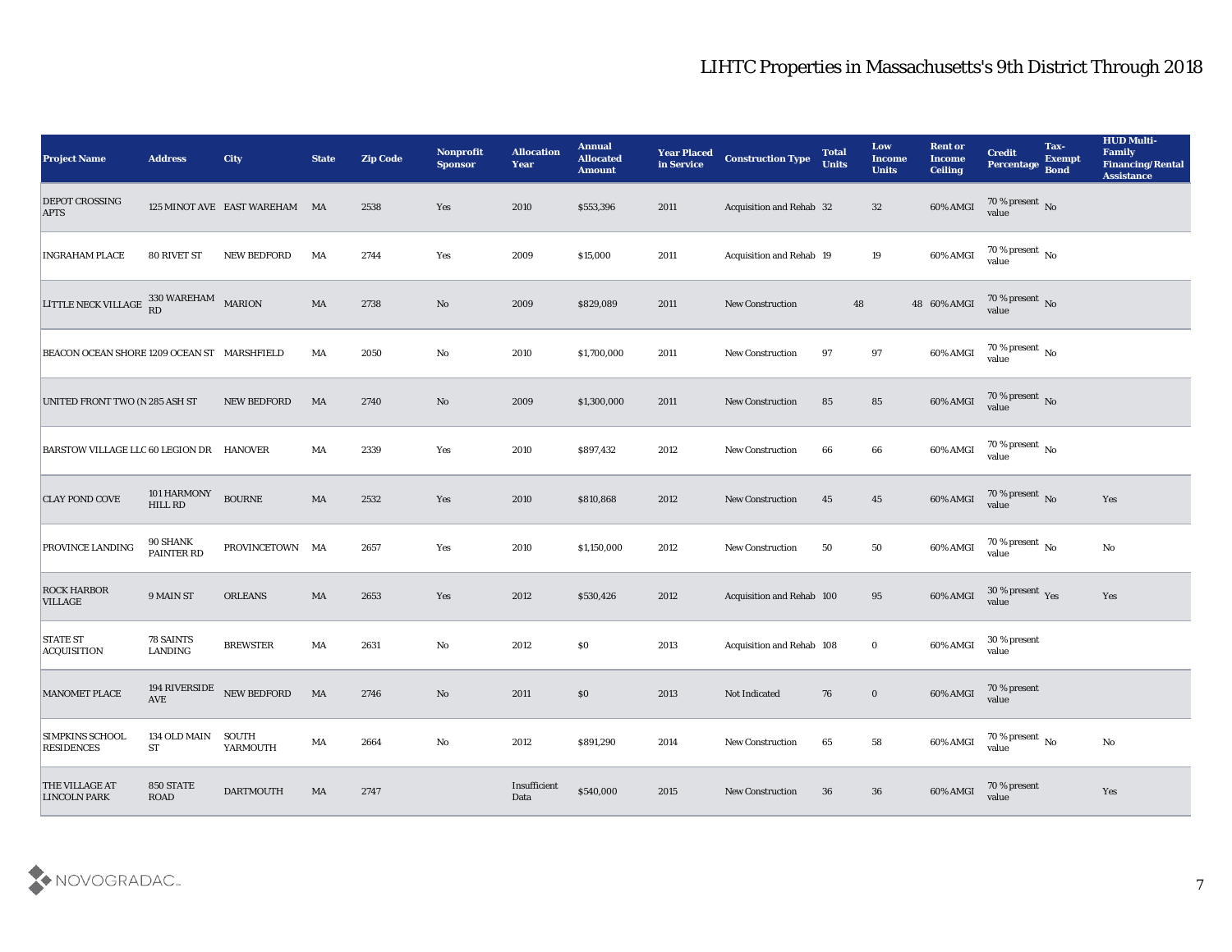| <b>Project Name</b>                                | <b>Address</b>                     | <b>City</b>                   | <b>State</b>           | <b>Zip Code</b> | Nonprofit<br><b>Sponsor</b> | <b>Allocation</b><br><b>Year</b> | <b>Annual</b><br><b>Allocated</b><br><b>Amount</b> | <b>Year Placed</b><br>in Service | <b>Construction Type</b>  | <b>Total</b><br><b>Units</b> | Low<br><b>Income</b><br><b>Units</b> | <b>Rent or</b><br><b>Income</b><br><b>Ceiling</b> | <b>Credit</b><br><b>Percentage</b> | Tax-<br><b>Exempt</b><br><b>Bond</b> | <b>HUD Multi-</b><br>Family<br><b>Financing/Rental</b><br><b>Assistance</b> |
|----------------------------------------------------|------------------------------------|-------------------------------|------------------------|-----------------|-----------------------------|----------------------------------|----------------------------------------------------|----------------------------------|---------------------------|------------------------------|--------------------------------------|---------------------------------------------------|------------------------------------|--------------------------------------|-----------------------------------------------------------------------------|
| <b>DEPOT CROSSING</b><br><b>APTS</b>               |                                    | 125 MINOT AVE EAST WAREHAM MA |                        | 2538            | Yes                         | 2010                             | \$553,396                                          | 2011                             | Acquisition and Rehab 32  |                              | 32                                   | 60% AMGI                                          | $70\,\%$ present $\,$ No value     |                                      |                                                                             |
| <b>INGRAHAM PLACE</b>                              | 80 RIVET ST                        | <b>NEW BEDFORD</b>            | MA                     | 2744            | Yes                         | 2009                             | \$15,000                                           | 2011                             | Acquisition and Rehab 19  |                              | 19                                   | 60% AMGI                                          | $70\,\%$ present $\,$ No value     |                                      |                                                                             |
| LITTLE NECK VILLAGE ${}^{330}_{RD}$ WAREHAM MARION |                                    |                               | $\mathbf{M}\mathbf{A}$ | 2738            | No                          | 2009                             | \$829,089                                          | 2011                             | <b>New Construction</b>   | 48                           |                                      | 48 60% AMGI                                       | 70 % present No<br>value           |                                      |                                                                             |
| BEACON OCEAN SHORE 1209 OCEAN ST MARSHFIELD        |                                    |                               | MA                     | 2050            | No                          | 2010                             | \$1,700,000                                        | 2011                             | <b>New Construction</b>   | 97                           | 97                                   | 60% AMGI                                          | $70\,\%$ present $\,$ No value     |                                      |                                                                             |
| UNITED FRONT TWO (N 285 ASH ST                     |                                    | <b>NEW BEDFORD</b>            | MA                     | 2740            | No                          | 2009                             | \$1,300,000                                        | 2011                             | <b>New Construction</b>   | 85                           | 85                                   | 60% AMGI                                          | $70\,\%$ present $\,$ No value     |                                      |                                                                             |
| BARSTOW VILLAGE LLC 60 LEGION DR HANOVER           |                                    |                               | MA                     | 2339            | Yes                         | 2010                             | \$897,432                                          | 2012                             | <b>New Construction</b>   | 66                           | 66                                   | 60% AMGI                                          | $70\,\%$ present $\,$ No value     |                                      |                                                                             |
| <b>CLAY POND COVE</b>                              | 101 HARMONY<br><b>HILL RD</b>      | <b>BOURNE</b>                 | MA                     | 2532            | Yes                         | 2010                             | \$810,868                                          | 2012                             | <b>New Construction</b>   | 45                           | 45                                   | 60% AMGI                                          | 70 % present No<br>value           |                                      | Yes                                                                         |
| <b>PROVINCE LANDING</b>                            | 90 SHANK<br>PAINTER RD             | PROVINCETOWN MA               |                        | 2657            | Yes                         | 2010                             | \$1,150,000                                        | 2012                             | <b>New Construction</b>   | 50                           | 50                                   | 60% AMGI                                          | 70 % present $\,$ No $\,$<br>value |                                      | No                                                                          |
| <b>ROCK HARBOR</b><br><b>VILLAGE</b>               | 9 MAIN ST                          | <b>ORLEANS</b>                | MA                     | 2653            | Yes                         | 2012                             | \$530,426                                          | 2012                             | Acquisition and Rehab 100 |                              | 95                                   | 60% AMGI                                          | $30\,\%$ present $\,$ Yes value    |                                      | Yes                                                                         |
| <b>STATE ST</b><br><b>ACQUISITION</b>              | 78 SAINTS<br>LANDING               | <b>BREWSTER</b>               | MA                     | 2631            | No                          | 2012                             | \$0\$                                              | 2013                             | Acquisition and Rehab 108 |                              | $\bf{0}$                             | 60% AMGI                                          | 30 % present<br>value              |                                      |                                                                             |
| <b>MANOMET PLACE</b>                               | $\operatorname{AVE}$               | 194 RIVERSIDE NEW BEDFORD     | MA                     | 2746            | No                          | 2011                             | \$0\$                                              | 2013                             | Not Indicated             | 76                           | $\bf{0}$                             | 60% AMGI                                          | 70 % present<br>value              |                                      |                                                                             |
| <b>SIMPKINS SCHOOL</b><br><b>RESIDENCES</b>        | 134 OLD MAIN<br>${\cal S}{\cal T}$ | SOUTH<br>YARMOUTH             | MA                     | 2664            | $\mathbf {No}$              | 2012                             | \$891,290                                          | 2014                             | New Construction          | 65                           | 58                                   | 60% AMGI                                          | $70\,\%$ present $\,$ No value     |                                      | $\mathbf{No}$                                                               |
| THE VILLAGE AT<br><b>LINCOLN PARK</b>              | 850 STATE<br>ROAD                  | <b>DARTMOUTH</b>              | MA                     | 2747            |                             | Insufficient<br>Data             | \$540,000                                          | 2015                             | <b>New Construction</b>   | 36                           | 36                                   | 60% AMGI                                          | 70 % present<br>value              |                                      | Yes                                                                         |